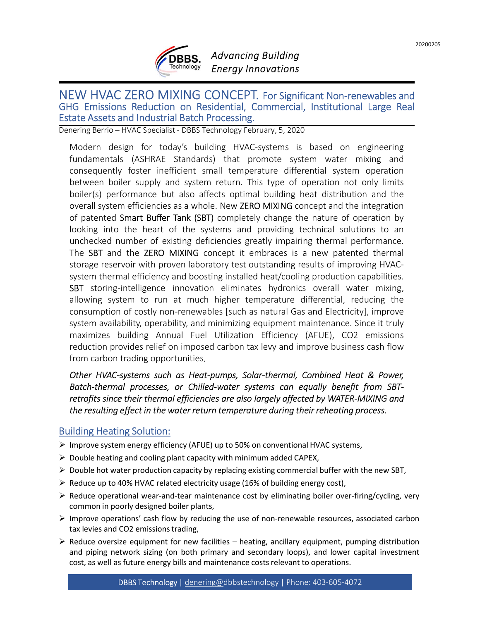

## Advancing Building Energy Innovations

# **THE CONCEPT.** For Significant Non-renewables and GHG Emissions Reduction on Residential, Commercial, Institutional Large Real Estate Assets and Industrial Batch Processing.<br> **Extate Assets and Industrial Batch Processing.**

**EXECT MORET CONSET CONSET CONSET CONSET CONSET CONSET CONSET CONSET CREAM CONSET CONSEPT. For Significant Non-renewables and HG Emissions Reduction on Residential, Commercial, Institutional Large Real tate Assets and Indu** Fundamentals (**ASHRAE Standards)** Advancing Building<br>
Fundamental Standards<br>
EW HVAC ZERO MIXING CONCEPT. For Significant Non-renewables and<br>
HG Emissions Reduction on Residential, Commercial, Institutional Large Real<br>
tat **COREC 1988**<br> **COREC 1988**<br> **COREC 1989**<br> **CONCEPT.** For Significant Non-renewables and<br>
IG Emissions Reduction on Residential, Commercial, Institutional Large Real<br>
Referenting Berrick Specialist -0B85 Technology February **EXECUTE SUBBES.** Advancing Building<br>
EXECUTE Theoreology Energy Innovations<br>
EXECUTE THE SURVING CONCEPT. For Significant Non-renewables and<br>
HG Emissions Reduction on Residential, Commercial, Institutional Large Real<br>
at **EDERS.** Advancing Building<br>
EW HVAC ZERO MIXING CONCEPT. For Significant Non-renewables and<br>
GE Emissions Reduction on Residential, Commercial, Institutional Large Real<br>
Atate Assets and Industrial Batch Processing.<br>
Hard **CREAC**<br> **CREAC**<br> **CREAC**<br> **CREAC**<br> **CREAC**<br> **CREAC**<br> **CREAC**<br> **CREAC**<br> **CREAC**<br> **CREAC**<br> **CREAC**<br> **CREAC**<br> **CREAC**<br> **CONCEPT.** For Significant Non-renewables and<br> **CCONCEPT.** For Significant Non-renewables and<br> **CONCEPT. EXERC MIXING CONCEPT.** For Significant Non-renewables and the meshind of Emissions Reduction on Residential, Commercial, Institutional Large Real Rist Buffer Tank (Smart Buffer Tank (Smart Buffer Tank (Smart Buffer Tank C **EXERCO MIXING CONCEPT.** For Significant Non-renewables and G Emissions Reduction on Residential, Commercial, Institutional Large Real at Assets and Industrial Batch Processing. Commercial, Institutional Large Real technic **EXERCO MIXING CONCEPT.** For Significant Non-renewables and HG Emissions Reduction on Residential, Commercial, Institutional Large Real<br>date Assets and Industrial Batch Processing.<br>mering terrio-tivac specialist-DBBS Techn The SBT and the ZERO MIXING CONCEPT. For Significant Non-renewables and<br>FG Emissions Reduction on Residential, Commercial, Institutional Large Real<br>distret Assets and Industrial Batch Processing.<br>
Internal Berrio-HVMC spec EVANNE TRANCO CONCEPT. For Significant Non-renewables and<br>HG Emissions Reduction on Residential, Commercial, Institutional Large Real<br>date Assets and Industrial Batch Processing. Commercial, Institutional Large Real<br>nering EW HVAC ZERO MIXING CONCEPT. For Significant Non-renewables and<br>G Emissions Reduction on Residential, Commercial, Institutional Large Real<br>tate Assets and Industrial Batch Processing.<br>
Firms Berrio-HVAC specialist-DBBS Tec EW HVAC ZERO MIXING CONCEPT. For Significant Non-renewables and<br>IG Emissions Reduction on Residential, Commercial, Institutional Large Real<br>Idet Assets and Industrial Batch Processing.<br>
Interigrence-HVAC specialist-DBBS Te IG Emissions Reduction on Residential, Commercial, Institutional Large Real<br>
ater Assets and Industrial Batch Processing.<br>
Intering Berrio = HVAC Specialist - DBBS Technology February, 5, 2020<br>
Modern design for today's bu cate Assets and Industrial Batch Processing.<br>
moring Berrio - HVMC Specialist - DBBS Technology February, 5, 2020<br>
Modern design for today's building HVAC-systems is based on engineering<br>
Mondernmetals (ASHRAE Standards) t nering Berrio – HVAC Specialist - DBBS Technology February, 5, 2020<br>
Modern design for today's building HVAC-systems is based on engineering<br>
fundamentals (ASHRAE Standards) that promote system water mixing and<br>
fundamenta Modern design for today's building HVAC-systems is based on engineering<br>fundamentals (ASHRAE Standards) that promote sytem water mixing and<br>consequently foster inefficient small enneprature differential system operation<br>be fundamentals (ASHRAE Standards) that promote system water mixing and consequently foster inefficient small temperature differential system operation busine between boiler supply and system return. This type of operation no consequently foster inefficient small temperature differential system operation<br>bothwen boiler supply and system return. This type of operation not only limits<br>boiler(s) performance but also affects optimal building heat d boiler(s) performance but also affects optimal building heat distribution and the<br>overall system efficiencies as a whole. New ZERO MIXING concept and the integration<br>of patented Smart Buffer Tank (SBT) completely change th overall system efficiencies as a whole. New **ZERO MIXING** concept and the integration by of patented **Smart Buffer Tank (SBT)** completely change the nature of operation by olooking into the heart of the systems and providi of patented **Smart Buffer Tank (SBT)** completely change the nature of operation by<br>looking into the heart of the systems and providing technical solutions to an<br>unchecked number of existing definicing aready impairing ther unchecked number of existing deficiencies greatly impairing thermal performa<br>
The SBT and the ZERO MIXING concept it embraces is a new patented ther<br>
storage reservoir with proven laboratory test outstanding results of im The SBT and the **ZERO MIXING** concept it embraces is a new patented thermal<br>storage reservoir with proven laboratory test outstanding results of improving HVAC-<br>system thermal efficiency and boosting installed heal/coolin storage reservoir with proven laboratory test outstanding results of improving HVAC-<br>system thermal efficiency and boosting installed heat/cooling production capabilities.<br>SBT storing-intelligence innovation eliminates hyd system thermal efficiency and boosting installed heat/cooling production capabilities.<br> **SBT** storing-intelligence innovation eliminates hydronics overall water mixing,<br>
allowing system to run at much higher temperature d **SBI** storial entergonation eliminates hydronics overall water mixing,<br>allowing system to run at much higher temperature differential, reducing the<br>consumption of costly non-renewables [such as natural Gas and Electricity aniowing system To Fun at much in aper remperature dimerential, requiring the<br>consumption of costly non-renewables [such as a ratural Gas and Electricity], improve<br>system availability, operability, and minimizing equipmen consumption of costly non-renewables [such as natural Gas and Electricity], improve<br>system availability, operability, and minimizing equipment maintenance. Since it truly<br>maximizes building Annual Fuel Utilization Efficien **EXECT MANUTE CONCEPT**<br> **EXECT MANUAL SPECIAL MANUAL SPECIAL MANUAL SPECIAL MANUAL SPECIAL ASSESS AND MANUAL SPECIAL FOR Significant Non-renewables and GHG Emissions Reduction on Residential, Commercial, Institutional Larg** 

system availability, operability, and minimizing equipment manitenance. Since it truly<br>
reduction provides relief on imposed carbon tax levy and improve business cash flow<br>
from carbon trading opportunities,<br>
Other HWAC-sy maximizes building Annual Fuel Utilization Efficiency (AFUE), CO2 emissions<br>reduction provides relief on imposed carbon tax levy and improve business cash flow<br>from carbon trading opportunities.<br>Other HVAC-systems such as reduction provides relief on imposed carbon tax levy and improve business cash flow<br>
Corbier HVAC-systems such as Heat-pumps, Solar-thermal, Combined Heat & Power,<br>
Other HVAC-systems such as Heat-pumps, Solar-thermal, Com from carbon trading opportunities,<br>
Other HVAC-systems such as Heat-pumps, Solar-thermal, Combined Heat & Power,<br>
Batch-thermal processes, or Chilled-water systems can equally benefit from SBT-<br>
Batch-thermal efficiencies Other HVAC-systems such as Heat-pumps, Solar-thermal, Combined Heat & Power,<br>Batch-thermal processes, or Chilled-water systems can equally benefit from SBT-<br>entrofits since their thermal efficiencies are also largely affec

- 
- 
- 
- 
- 
- 
- al processes, or Chilled-water systems can equality beneptt from SBI-<br>effect in the water return temperature during their reheating process.<br>effect in the water return temperature during their reheating process.<br>ing Soluti